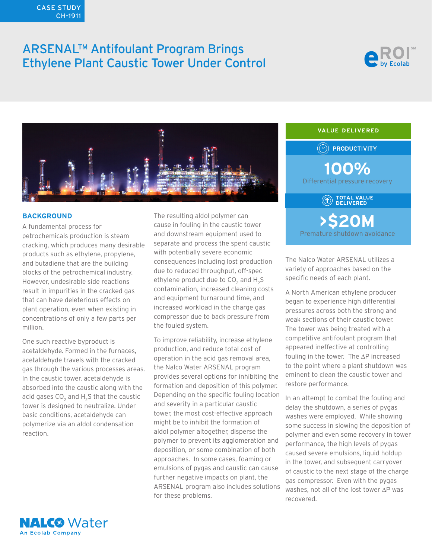# CASE STUDY CH-1911

# ARSENAL™ Antifoulant Program Brings Ethylene Plant Caustic Tower Under Control





## **BACKGROUND**

A fundamental process for petrochemicals production is steam cracking, which produces many desirable products such as ethylene, propylene, and butadiene that are the building blocks of the petrochemical industry. However, undesirable side reactions result in impurities in the cracked gas that can have deleterious effects on plant operation, even when existing in concentrations of only a few parts per million.

One such reactive byproduct is acetaldehyde. Formed in the furnaces, acetaldehyde travels with the cracked gas through the various processes areas. In the caustic tower, acetaldehyde is absorbed into the caustic along with the acid gases CO<sub>2</sub> and H<sub>2</sub>S that the caustic tower is designed to neutralize. Under basic conditions, acetaldehyde can polymerize via an aldol condensation reaction.

**NALC®** Water **An Ecolab Company** 

The resulting aldol polymer can cause in fouling in the caustic tower and downstream equipment used to separate and process the spent caustic with potentially severe economic consequences including lost production due to reduced throughput, off-spec ethylene product due to CO<sub>2</sub> and  $H_2S$ contamination, increased cleaning costs and equipment turnaround time, and increased workload in the charge gas compressor due to back pressure from the fouled system.

To improve reliability, increase ethylene production, and reduce total cost of operation in the acid gas removal area, the Nalco Water ARSENAL program provides several options for inhibiting the formation and deposition of this polymer. Depending on the specific fouling location and severity in a particular caustic tower, the most cost-effective approach might be to inhibit the formation of aldol polymer altogether, disperse the polymer to prevent its agglomeration and deposition, or some combination of both approaches. In some cases, foaming or emulsions of pygas and caustic can cause further negative impacts on plant, the ARSENAL program also includes solutions for these problems.



The Nalco Water ARSENAL utilizes a variety of approaches based on the specific needs of each plant.

A North American ethylene producer began to experience high differential pressures across both the strong and weak sections of their caustic tower. The tower was being treated with a competitive antifoulant program that appeared ineffective at controlling fouling in the tower. The ∆P increased to the point where a plant shutdown was eminent to clean the caustic tower and restore performance.

In an attempt to combat the fouling and delay the shutdown, a series of pygas washes were employed. While showing some success in slowing the deposition of polymer and even some recovery in tower performance, the high levels of pygas caused severe emulsions, liquid holdup in the tower, and subsequent carryover of caustic to the next stage of the charge gas compressor. Even with the pygas washes, not all of the lost tower ∆P was recovered.